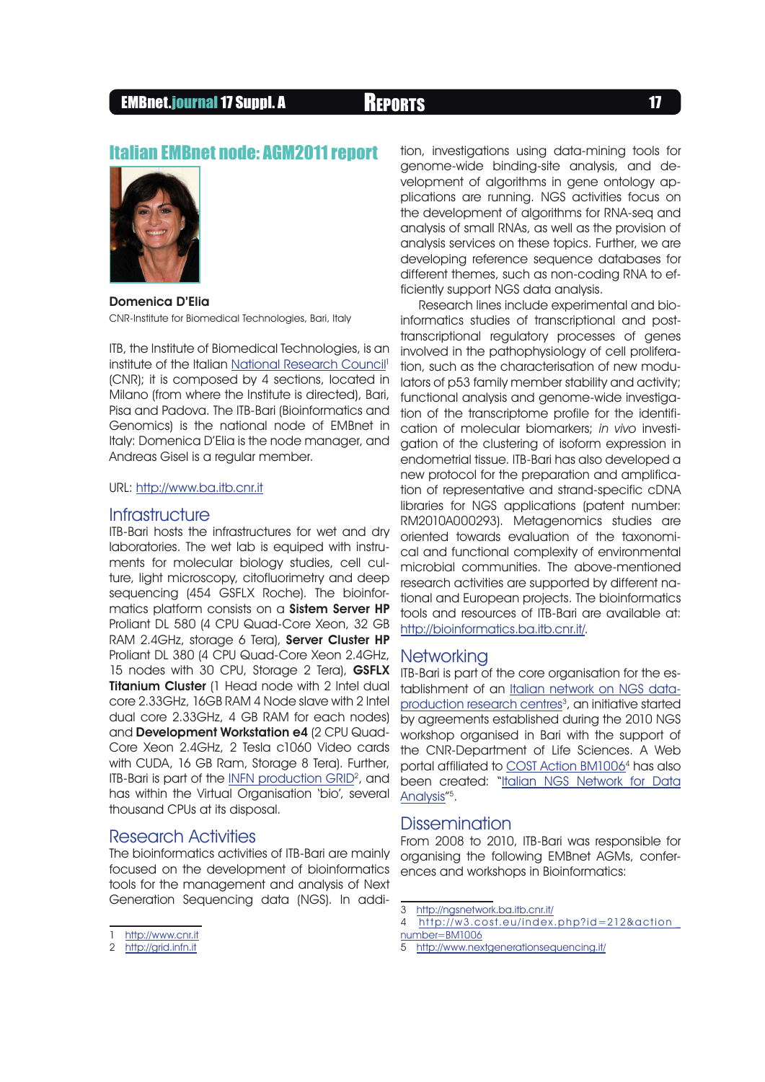# EMBnet.journal 17 Suppl. A Reports <sup>17</sup>

## Italian EMBnet node: AGM2011 report



Domenica D'Elia CNR-Institute for Biomedical Technologies, Bari, Italy

ITB, the Institute of Biomedical Technologies, is an institute of the Italian [National Research Council](http://www.cnr.it)<sup>1</sup> (CNR); it is composed by 4 sections, located in Milano (from where the Institute is directed), Bari, Pisa and Padova. The ITB-Bari (Bioinformatics and Genomics) is the national node of EMBnet in Italy: Domenica D'Elia is the node manager, and Andreas Gisel is a regular member.

### URL:<http://www.ba.itb.cnr.it>

### **Infrastructure**

ITB-Bari hosts the infrastructures for wet and dry laboratories. The wet lab is equiped with instruments for molecular biology studies, cell culture, light microscopy, citofluorimetry and deep sequencing (454 GSFLX Roche). The bioinformatics platform consists on a **Sistem Server HP** Proliant DL 580 (4 CPU Quad-Core Xeon, 32 GB RAM 2.4GHz, storage 6 Tera), Server Cluster HP Proliant DL 380 (4 CPU Quad-Core Xeon 2.4GHz, 15 nodes with 30 CPU, Storage 2 Tera), GSFLX **Titanium Cluster** (1 Head node with 2 Intel dual core 2.33GHz, 16GB RAM 4 Node slave with 2 Intel dual core 2.33GHz, 4 GB RAM for each nodes) and Development Workstation e4 (2 CPU Quad-Core Xeon 2.4GHz, 2 Tesla c1060 Video cards with CUDA, 16 GB Ram, Storage 8 Tera). Further, ITB-Bari is part of the <u>INFN production GRID</u><sup>2</sup>, and has within the Virtual Organisation 'bio', several thousand CPUs at its disposal.

## Research Activities

The bioinformatics activities of ITB-Bari are mainly focused on the development of bioinformatics tools for the management and analysis of Next Generation Sequencing data (NGS). In addi-

2 <http://grid.infn.it>

tion, investigations using data-mining tools for genome-wide binding-site analysis, and development of algorithms in gene ontology applications are running. NGS activities focus on the development of algorithms for RNA-seq and analysis of small RNAs, as well as the provision of analysis services on these topics. Further, we are developing reference sequence databases for different themes, such as non-coding RNA to efficiently support NGS data analysis.

Research lines include experimental and bioinformatics studies of transcriptional and posttranscriptional regulatory processes of genes involved in the pathophysiology of cell proliferation, such as the characterisation of new modulators of p53 family member stability and activity; functional analysis and genome-wide investigation of the transcriptome profile for the identification of molecular biomarkers; in vivo investigation of the clustering of isoform expression in endometrial tissue. ITB-Bari has also developed a new protocol for the preparation and amplification of representative and strand-specific cDNA libraries for NGS applications (patent number: RM2010A000293). Metagenomics studies are oriented towards evaluation of the taxonomical and functional complexity of environmental microbial communities. The above-mentioned research activities are supported by different national and European projects. The bioinformatics tools and resources of ITB-Bari are available at: [http://bioinformatics.ba.itb.cnr.it/.](http://bioinformatics.ba.itb.cnr.it/)

#### **Networking**

ITB-Bari is part of the core organisation for the establishment of an [Italian network on NGS data](http://ngsnetwork.ba.itb.cnr.it/)production research centres<sup>3</sup>, an initiative started by agreements established during the 2010 NGS workshop organised in Bari with the support of the CNR-Department of Life Sciences. A Web portal affiliated to COST Action BM1006<sup>4</sup> has also been created: "[Italian NGS Network for Data](http://www.nextgenerationsequencing.it/) [Analysis"](http://www.nextgenerationsequencing.it/)<sup>5</sup>.

#### Dissemination

From 2008 to 2010, ITB-Bari was responsible for organising the following EMBnet AGMs, conferences and workshops in Bioinformatics:

<http://www.cnr.it>

<sup>3</sup> <http://ngsnetwork.ba.itb.cnr.it/>

<sup>4</sup> [http://w3.cost.eu/index.php?id=212&action \\_](http://w3.cost.eu/index.php?id=212&action_number=BM1006) [number=BM1006](http://w3.cost.eu/index.php?id=212&action_number=BM1006)

<sup>5</sup> <http://www.nextgenerationsequencing.it/>